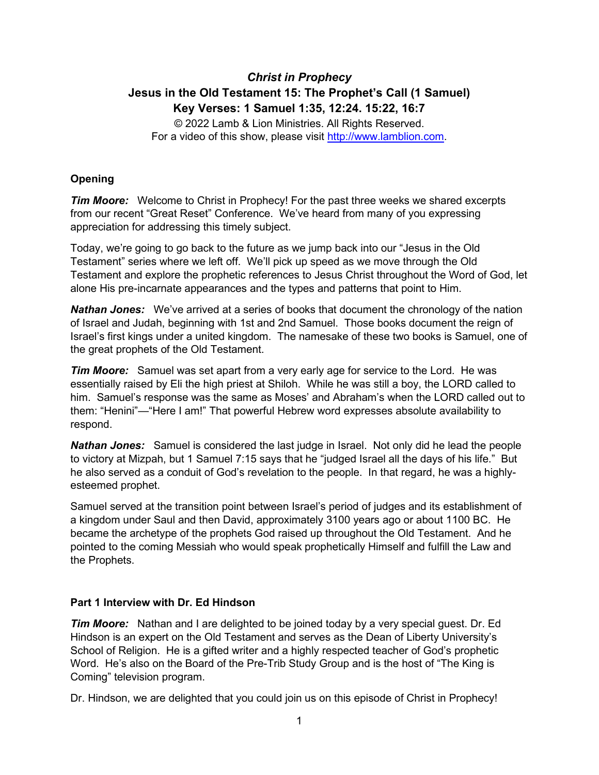# *Christ in Prophecy* **Jesus in the Old Testament 15: The Prophet's Call (1 Samuel) Key Verses: 1 Samuel 1:35, 12:24. 15:22, 16:7**

© 2022 Lamb & Lion Ministries. All Rights Reserved. For a video of this show, please visit [http://www.lamblion.com.](http://www.lamblion.com/)

## **Opening**

*Tim Moore:* Welcome to Christ in Prophecy! For the past three weeks we shared excerpts from our recent "Great Reset" Conference. We've heard from many of you expressing appreciation for addressing this timely subject.

Today, we're going to go back to the future as we jump back into our "Jesus in the Old Testament" series where we left off. We'll pick up speed as we move through the Old Testament and explore the prophetic references to Jesus Christ throughout the Word of God, let alone His pre-incarnate appearances and the types and patterns that point to Him.

*Nathan Jones:* We've arrived at a series of books that document the chronology of the nation of Israel and Judah, beginning with 1st and 2nd Samuel. Those books document the reign of Israel's first kings under a united kingdom. The namesake of these two books is Samuel, one of the great prophets of the Old Testament.

*Tim Moore:* Samuel was set apart from a very early age for service to the Lord. He was essentially raised by Eli the high priest at Shiloh. While he was still a boy, the LORD called to him. Samuel's response was the same as Moses' and Abraham's when the LORD called out to them: "Henini"—"Here I am!" That powerful Hebrew word expresses absolute availability to respond.

*Nathan Jones:* Samuel is considered the last judge in Israel. Not only did he lead the people to victory at Mizpah, but 1 Samuel 7:15 says that he "judged Israel all the days of his life." But he also served as a conduit of God's revelation to the people. In that regard, he was a highlyesteemed prophet.

Samuel served at the transition point between Israel's period of judges and its establishment of a kingdom under Saul and then David, approximately 3100 years ago or about 1100 BC. He became the archetype of the prophets God raised up throughout the Old Testament. And he pointed to the coming Messiah who would speak prophetically Himself and fulfill the Law and the Prophets.

### **Part 1 Interview with Dr. Ed Hindson**

*Tim Moore:* Nathan and I are delighted to be joined today by a very special guest. Dr. Ed Hindson is an expert on the Old Testament and serves as the Dean of Liberty University's School of Religion. He is a gifted writer and a highly respected teacher of God's prophetic Word. He's also on the Board of the Pre-Trib Study Group and is the host of "The King is Coming" television program.

Dr. Hindson, we are delighted that you could join us on this episode of Christ in Prophecy!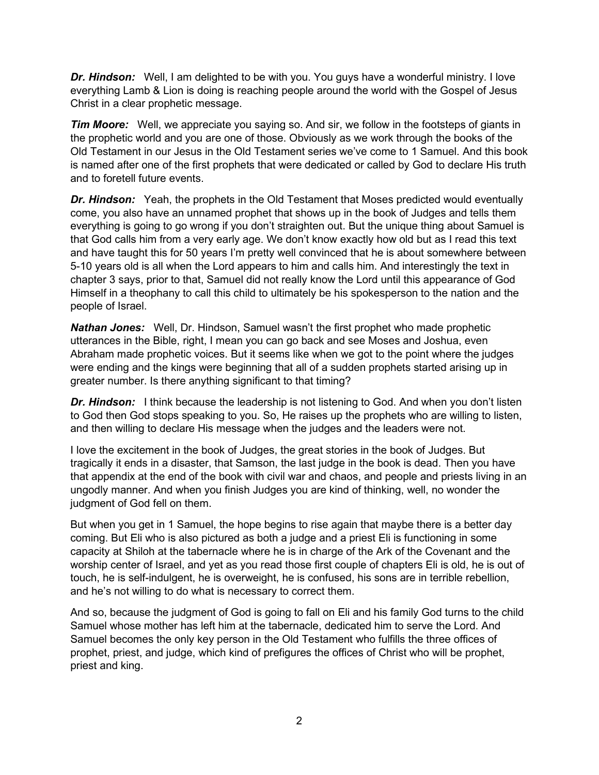*Dr. Hindson:* Well, I am delighted to be with you. You guys have a wonderful ministry. I love everything Lamb & Lion is doing is reaching people around the world with the Gospel of Jesus Christ in a clear prophetic message.

*Tim Moore:* Well, we appreciate you saying so. And sir, we follow in the footsteps of giants in the prophetic world and you are one of those. Obviously as we work through the books of the Old Testament in our Jesus in the Old Testament series we've come to 1 Samuel. And this book is named after one of the first prophets that were dedicated or called by God to declare His truth and to foretell future events.

**Dr. Hindson:** Yeah, the prophets in the Old Testament that Moses predicted would eventually come, you also have an unnamed prophet that shows up in the book of Judges and tells them everything is going to go wrong if you don't straighten out. But the unique thing about Samuel is that God calls him from a very early age. We don't know exactly how old but as I read this text and have taught this for 50 years I'm pretty well convinced that he is about somewhere between 5-10 years old is all when the Lord appears to him and calls him. And interestingly the text in chapter 3 says, prior to that, Samuel did not really know the Lord until this appearance of God Himself in a theophany to call this child to ultimately be his spokesperson to the nation and the people of Israel.

**Nathan Jones:** Well, Dr. Hindson, Samuel wasn't the first prophet who made prophetic utterances in the Bible, right, I mean you can go back and see Moses and Joshua, even Abraham made prophetic voices. But it seems like when we got to the point where the judges were ending and the kings were beginning that all of a sudden prophets started arising up in greater number. Is there anything significant to that timing?

**Dr. Hindson:** I think because the leadership is not listening to God. And when you don't listen to God then God stops speaking to you. So, He raises up the prophets who are willing to listen, and then willing to declare His message when the judges and the leaders were not.

I love the excitement in the book of Judges, the great stories in the book of Judges. But tragically it ends in a disaster, that Samson, the last judge in the book is dead. Then you have that appendix at the end of the book with civil war and chaos, and people and priests living in an ungodly manner. And when you finish Judges you are kind of thinking, well, no wonder the judgment of God fell on them.

But when you get in 1 Samuel, the hope begins to rise again that maybe there is a better day coming. But Eli who is also pictured as both a judge and a priest Eli is functioning in some capacity at Shiloh at the tabernacle where he is in charge of the Ark of the Covenant and the worship center of Israel, and yet as you read those first couple of chapters Eli is old, he is out of touch, he is self-indulgent, he is overweight, he is confused, his sons are in terrible rebellion, and he's not willing to do what is necessary to correct them.

And so, because the judgment of God is going to fall on Eli and his family God turns to the child Samuel whose mother has left him at the tabernacle, dedicated him to serve the Lord. And Samuel becomes the only key person in the Old Testament who fulfills the three offices of prophet, priest, and judge, which kind of prefigures the offices of Christ who will be prophet, priest and king.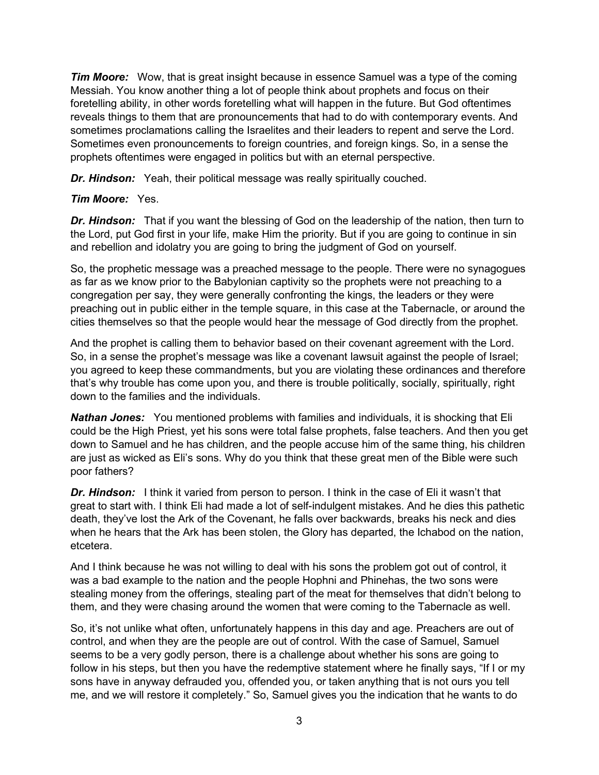*Tim Moore:* Wow, that is great insight because in essence Samuel was a type of the coming Messiah. You know another thing a lot of people think about prophets and focus on their foretelling ability, in other words foretelling what will happen in the future. But God oftentimes reveals things to them that are pronouncements that had to do with contemporary events. And sometimes proclamations calling the Israelites and their leaders to repent and serve the Lord. Sometimes even pronouncements to foreign countries, and foreign kings. So, in a sense the prophets oftentimes were engaged in politics but with an eternal perspective.

*Dr. Hindson:* Yeah, their political message was really spiritually couched.

### *Tim Moore:* Yes.

*Dr. Hindson:* That if you want the blessing of God on the leadership of the nation, then turn to the Lord, put God first in your life, make Him the priority. But if you are going to continue in sin and rebellion and idolatry you are going to bring the judgment of God on yourself.

So, the prophetic message was a preached message to the people. There were no synagogues as far as we know prior to the Babylonian captivity so the prophets were not preaching to a congregation per say, they were generally confronting the kings, the leaders or they were preaching out in public either in the temple square, in this case at the Tabernacle, or around the cities themselves so that the people would hear the message of God directly from the prophet.

And the prophet is calling them to behavior based on their covenant agreement with the Lord. So, in a sense the prophet's message was like a covenant lawsuit against the people of Israel; you agreed to keep these commandments, but you are violating these ordinances and therefore that's why trouble has come upon you, and there is trouble politically, socially, spiritually, right down to the families and the individuals.

*Nathan Jones:* You mentioned problems with families and individuals, it is shocking that Eli could be the High Priest, yet his sons were total false prophets, false teachers. And then you get down to Samuel and he has children, and the people accuse him of the same thing, his children are just as wicked as Eli's sons. Why do you think that these great men of the Bible were such poor fathers?

**Dr. Hindson:** I think it varied from person to person. I think in the case of Eli it wasn't that great to start with. I think Eli had made a lot of self-indulgent mistakes. And he dies this pathetic death, they've lost the Ark of the Covenant, he falls over backwards, breaks his neck and dies when he hears that the Ark has been stolen, the Glory has departed, the Ichabod on the nation, etcetera.

And I think because he was not willing to deal with his sons the problem got out of control, it was a bad example to the nation and the people Hophni and Phinehas, the two sons were stealing money from the offerings, stealing part of the meat for themselves that didn't belong to them, and they were chasing around the women that were coming to the Tabernacle as well.

So, it's not unlike what often, unfortunately happens in this day and age. Preachers are out of control, and when they are the people are out of control. With the case of Samuel, Samuel seems to be a very godly person, there is a challenge about whether his sons are going to follow in his steps, but then you have the redemptive statement where he finally says, "If I or my sons have in anyway defrauded you, offended you, or taken anything that is not ours you tell me, and we will restore it completely." So, Samuel gives you the indication that he wants to do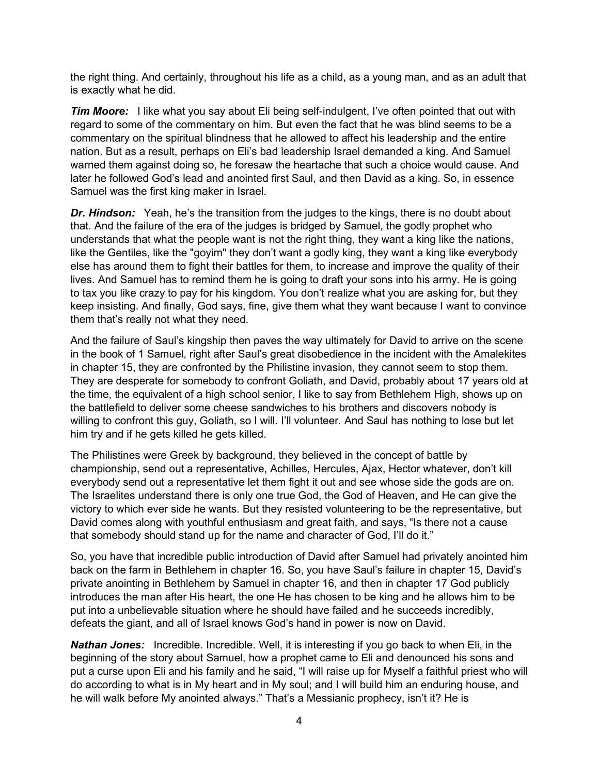the right thing. And certainly, throughout his life as a child, as a young man, and as an adult that is exactly what he did.

**Tim Moore:** I like what you say about Eli being self-indulgent, I've often pointed that out with regard to some of the commentary on him. But even the fact that he was blind seems to be a commentary on the spiritual blindness that he allowed to affect his leadership and the entire nation. But as a result, perhaps on Eli's bad leadership Israel demanded a king. And Samuel warned them against doing so, he foresaw the heartache that such a choice would cause. And later he followed God's lead and anointed first Saul, and then David as a king. So, in essence Samuel was the first king maker in Israel.

*Dr. Hindson:* Yeah, he's the transition from the judges to the kings, there is no doubt about that. And the failure of the era of the judges is bridged by Samuel, the godly prophet who understands that what the people want is not the right thing, they want a king like the nations, like the Gentiles, like the "goyim" they don't want a godly king, they want a king like everybody else has around them to fight their battles for them, to increase and improve the quality of their lives. And Samuel has to remind them he is going to draft your sons into his army. He is going to tax you like crazy to pay for his kingdom. You don't realize what you are asking for, but they keep insisting. And finally, God says, fine, give them what they want because I want to convince them that's really not what they need.

And the failure of Saul's kingship then paves the way ultimately for David to arrive on the scene in the book of 1 Samuel, right after Saul's great disobedience in the incident with the Amalekites in chapter 15, they are confronted by the Philistine invasion, they cannot seem to stop them. They are desperate for somebody to confront Goliath, and David, probably about 17 years old at the time, the equivalent of a high school senior, I like to say from Bethlehem High, shows up on the battlefield to deliver some cheese sandwiches to his brothers and discovers nobody is willing to confront this guy, Goliath, so I will. I'll volunteer. And Saul has nothing to lose but let him try and if he gets killed he gets killed.

The Philistines were Greek by background, they believed in the concept of battle by championship, send out a representative, Achilles, Hercules, Ajax, Hector whatever, don't kill everybody send out a representative let them fight it out and see whose side the gods are on. The Israelites understand there is only one true God, the God of Heaven, and He can give the victory to which ever side he wants. But they resisted volunteering to be the representative, but David comes along with youthful enthusiasm and great faith, and says, "Is there not a cause that somebody should stand up for the name and character of God, I'll do it."

So, you have that incredible public introduction of David after Samuel had privately anointed him back on the farm in Bethlehem in chapter 16. So, you have Saul's failure in chapter 15, David's private anointing in Bethlehem by Samuel in chapter 16, and then in chapter 17 God publicly introduces the man after His heart, the one He has chosen to be king and he allows him to be put into a unbelievable situation where he should have failed and he succeeds incredibly, defeats the giant, and all of Israel knows God's hand in power is now on David.

*Nathan Jones:* Incredible. Incredible. Well, it is interesting if you go back to when Eli, in the beginning of the story about Samuel, how a prophet came to Eli and denounced his sons and put a curse upon Eli and his family and he said, "I will raise up for Myself a faithful priest who will do according to what is in My heart and in My soul; and I will build him an enduring house, and he will walk before My anointed always." That's a Messianic prophecy, isn't it? He is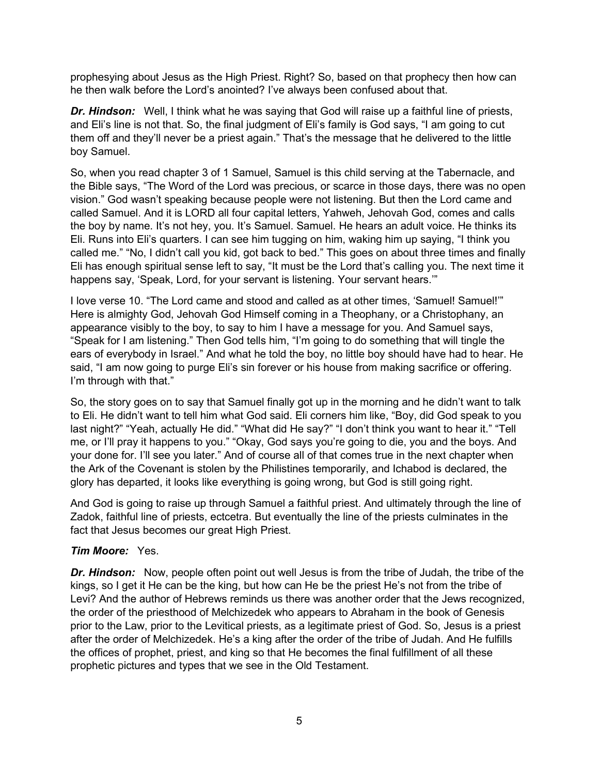prophesying about Jesus as the High Priest. Right? So, based on that prophecy then how can he then walk before the Lord's anointed? I've always been confused about that.

**Dr. Hindson:** Well, I think what he was saying that God will raise up a faithful line of priests, and Eli's line is not that. So, the final judgment of Eli's family is God says, "I am going to cut them off and they'll never be a priest again." That's the message that he delivered to the little boy Samuel.

So, when you read chapter 3 of 1 Samuel, Samuel is this child serving at the Tabernacle, and the Bible says, "The Word of the Lord was precious, or scarce in those days, there was no open vision." God wasn't speaking because people were not listening. But then the Lord came and called Samuel. And it is LORD all four capital letters, Yahweh, Jehovah God, comes and calls the boy by name. It's not hey, you. It's Samuel. Samuel. He hears an adult voice. He thinks its Eli. Runs into Eli's quarters. I can see him tugging on him, waking him up saying, "I think you called me." "No, I didn't call you kid, got back to bed." This goes on about three times and finally Eli has enough spiritual sense left to say, "It must be the Lord that's calling you. The next time it happens say, 'Speak, Lord, for your servant is listening. Your servant hears.""

I love verse 10. "The Lord came and stood and called as at other times, 'Samuel! Samuel!'" Here is almighty God, Jehovah God Himself coming in a Theophany, or a Christophany, an appearance visibly to the boy, to say to him I have a message for you. And Samuel says, "Speak for I am listening." Then God tells him, "I'm going to do something that will tingle the ears of everybody in Israel." And what he told the boy, no little boy should have had to hear. He said, "I am now going to purge Eli's sin forever or his house from making sacrifice or offering. I'm through with that."

So, the story goes on to say that Samuel finally got up in the morning and he didn't want to talk to Eli. He didn't want to tell him what God said. Eli corners him like, "Boy, did God speak to you last night?" "Yeah, actually He did." "What did He say?" "I don't think you want to hear it." "Tell me, or I'll pray it happens to you." "Okay, God says you're going to die, you and the boys. And your done for. I'll see you later." And of course all of that comes true in the next chapter when the Ark of the Covenant is stolen by the Philistines temporarily, and Ichabod is declared, the glory has departed, it looks like everything is going wrong, but God is still going right.

And God is going to raise up through Samuel a faithful priest. And ultimately through the line of Zadok, faithful line of priests, ectcetra. But eventually the line of the priests culminates in the fact that Jesus becomes our great High Priest.

### *Tim Moore:* Yes.

*Dr. Hindson:* Now, people often point out well Jesus is from the tribe of Judah, the tribe of the kings, so I get it He can be the king, but how can He be the priest He's not from the tribe of Levi? And the author of Hebrews reminds us there was another order that the Jews recognized, the order of the priesthood of Melchizedek who appears to Abraham in the book of Genesis prior to the Law, prior to the Levitical priests, as a legitimate priest of God. So, Jesus is a priest after the order of Melchizedek. He's a king after the order of the tribe of Judah. And He fulfills the offices of prophet, priest, and king so that He becomes the final fulfillment of all these prophetic pictures and types that we see in the Old Testament.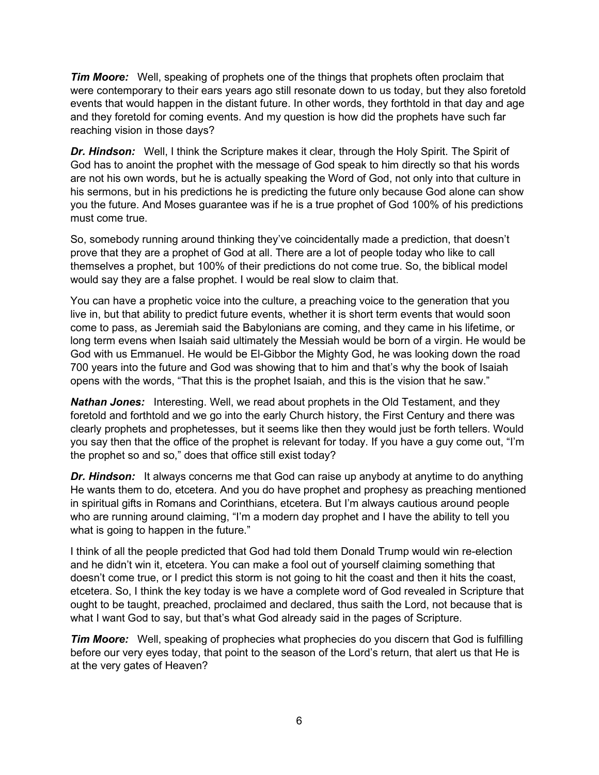*Tim Moore:* Well, speaking of prophets one of the things that prophets often proclaim that were contemporary to their ears years ago still resonate down to us today, but they also foretold events that would happen in the distant future. In other words, they forthtold in that day and age and they foretold for coming events. And my question is how did the prophets have such far reaching vision in those days?

**Dr. Hindson:** Well, I think the Scripture makes it clear, through the Holy Spirit. The Spirit of God has to anoint the prophet with the message of God speak to him directly so that his words are not his own words, but he is actually speaking the Word of God, not only into that culture in his sermons, but in his predictions he is predicting the future only because God alone can show you the future. And Moses guarantee was if he is a true prophet of God 100% of his predictions must come true.

So, somebody running around thinking they've coincidentally made a prediction, that doesn't prove that they are a prophet of God at all. There are a lot of people today who like to call themselves a prophet, but 100% of their predictions do not come true. So, the biblical model would say they are a false prophet. I would be real slow to claim that.

You can have a prophetic voice into the culture, a preaching voice to the generation that you live in, but that ability to predict future events, whether it is short term events that would soon come to pass, as Jeremiah said the Babylonians are coming, and they came in his lifetime, or long term evens when Isaiah said ultimately the Messiah would be born of a virgin. He would be God with us Emmanuel. He would be El-Gibbor the Mighty God, he was looking down the road 700 years into the future and God was showing that to him and that's why the book of Isaiah opens with the words, "That this is the prophet Isaiah, and this is the vision that he saw."

*Nathan Jones:* Interesting. Well, we read about prophets in the Old Testament, and they foretold and forthtold and we go into the early Church history, the First Century and there was clearly prophets and prophetesses, but it seems like then they would just be forth tellers. Would you say then that the office of the prophet is relevant for today. If you have a guy come out, "I'm the prophet so and so," does that office still exist today?

*Dr. Hindson:* It always concerns me that God can raise up anybody at anytime to do anything He wants them to do, etcetera. And you do have prophet and prophesy as preaching mentioned in spiritual gifts in Romans and Corinthians, etcetera. But I'm always cautious around people who are running around claiming, "I'm a modern day prophet and I have the ability to tell you what is going to happen in the future."

I think of all the people predicted that God had told them Donald Trump would win re-election and he didn't win it, etcetera. You can make a fool out of yourself claiming something that doesn't come true, or I predict this storm is not going to hit the coast and then it hits the coast, etcetera. So, I think the key today is we have a complete word of God revealed in Scripture that ought to be taught, preached, proclaimed and declared, thus saith the Lord, not because that is what I want God to say, but that's what God already said in the pages of Scripture.

**Tim Moore:** Well, speaking of prophecies what prophecies do you discern that God is fulfilling before our very eyes today, that point to the season of the Lord's return, that alert us that He is at the very gates of Heaven?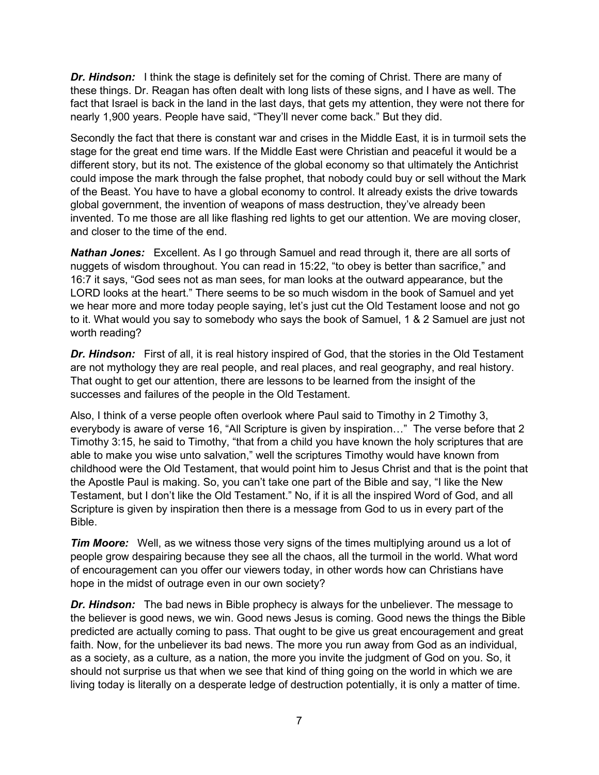**Dr. Hindson:** I think the stage is definitely set for the coming of Christ. There are many of these things. Dr. Reagan has often dealt with long lists of these signs, and I have as well. The fact that Israel is back in the land in the last days, that gets my attention, they were not there for nearly 1,900 years. People have said, "They'll never come back." But they did.

Secondly the fact that there is constant war and crises in the Middle East, it is in turmoil sets the stage for the great end time wars. If the Middle East were Christian and peaceful it would be a different story, but its not. The existence of the global economy so that ultimately the Antichrist could impose the mark through the false prophet, that nobody could buy or sell without the Mark of the Beast. You have to have a global economy to control. It already exists the drive towards global government, the invention of weapons of mass destruction, they've already been invented. To me those are all like flashing red lights to get our attention. We are moving closer, and closer to the time of the end.

*Nathan Jones:* Excellent. As I go through Samuel and read through it, there are all sorts of nuggets of wisdom throughout. You can read in 15:22, "to obey is better than sacrifice," and 16:7 it says, "God sees not as man sees, for man looks at the outward appearance, but the LORD looks at the heart." There seems to be so much wisdom in the book of Samuel and yet we hear more and more today people saying, let's just cut the Old Testament loose and not go to it. What would you say to somebody who says the book of Samuel, 1 & 2 Samuel are just not worth reading?

*Dr. Hindson:* First of all, it is real history inspired of God, that the stories in the Old Testament are not mythology they are real people, and real places, and real geography, and real history. That ought to get our attention, there are lessons to be learned from the insight of the successes and failures of the people in the Old Testament.

Also, I think of a verse people often overlook where Paul said to Timothy in 2 Timothy 3, everybody is aware of verse 16, "All Scripture is given by inspiration…" The verse before that 2 Timothy 3:15, he said to Timothy, "that from a child you have known the holy scriptures that are able to make you wise unto salvation," well the scriptures Timothy would have known from childhood were the Old Testament, that would point him to Jesus Christ and that is the point that the Apostle Paul is making. So, you can't take one part of the Bible and say, "I like the New Testament, but I don't like the Old Testament." No, if it is all the inspired Word of God, and all Scripture is given by inspiration then there is a message from God to us in every part of the Bible.

*Tim Moore:* Well, as we witness those very signs of the times multiplying around us a lot of people grow despairing because they see all the chaos, all the turmoil in the world. What word of encouragement can you offer our viewers today, in other words how can Christians have hope in the midst of outrage even in our own society?

*Dr. Hindson:* The bad news in Bible prophecy is always for the unbeliever. The message to the believer is good news, we win. Good news Jesus is coming. Good news the things the Bible predicted are actually coming to pass. That ought to be give us great encouragement and great faith. Now, for the unbeliever its bad news. The more you run away from God as an individual, as a society, as a culture, as a nation, the more you invite the judgment of God on you. So, it should not surprise us that when we see that kind of thing going on the world in which we are living today is literally on a desperate ledge of destruction potentially, it is only a matter of time.